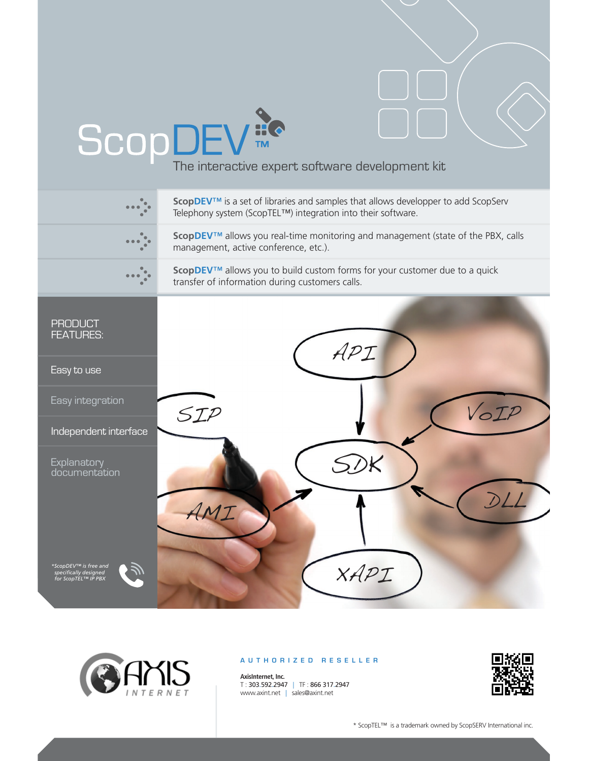## SCOP DEV<sub>TM</sub><br>The interactive expert software development kit





## **AUTHORIZED RESELLER**

**AxisInternet, Inc.** T : 303.592.2947 | TF : 866 317.2947 www.axint.net | sales@axint.net